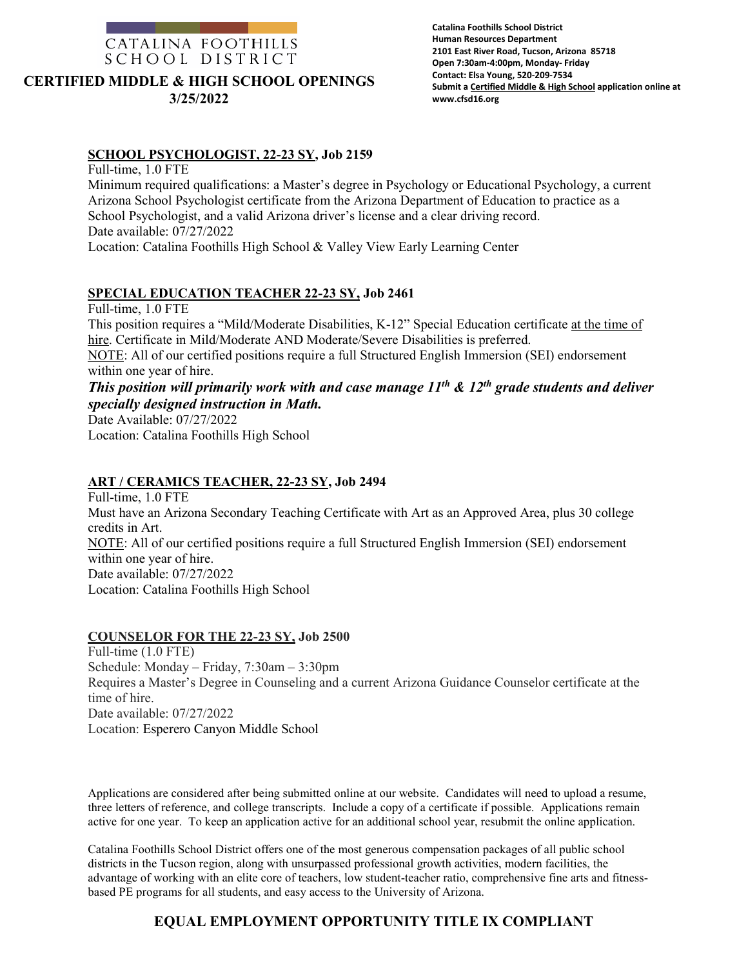

| Catalina Foothills School District                            |
|---------------------------------------------------------------|
| <b>Human Resources Department</b>                             |
| 2101 East River Road, Tucson, Arizona 85718                   |
| Open 7:30am-4:00pm, Monday- Friday                            |
| Contact: Elsa Young, 520-209-7534                             |
| Submit a Certified Middle & High School application online at |
| www.cfsd16.org                                                |

#### **SCHOOL PSYCHOLOGIST, 22-23 SY, Job 2159**

Full-time, 1.0 FTE

Minimum required qualifications: a Master's degree in Psychology or Educational Psychology, a current Arizona School Psychologist certificate from the Arizona Department of Education to practice as a School Psychologist, and a valid Arizona driver's license and a clear driving record. Date available: 07/27/2022 Location: Catalina Foothills High School & Valley View Early Learning Center

### **SPECIAL EDUCATION TEACHER 22-23 SY, Job 2461**

Full-time, 1.0 FTE This position requires a "Mild/Moderate Disabilities, K-12" Special Education certificate at the time of hire. Certificate in Mild/Moderate AND Moderate/Severe Disabilities is preferred. NOTE: All of our certified positions require a full Structured English Immersion (SEI) endorsement within one year of hire.

# *This position will primarily work with and case manage 11th & 12th grade students and deliver specially designed instruction in Math.*

Date Available: 07/27/2022 Location: Catalina Foothills High School

#### **ART / CERAMICS TEACHER, 22-23 SY, Job 2494**

Full-time, 1.0 FTE Must have an Arizona Secondary Teaching Certificate with Art as an Approved Area, plus 30 college credits in Art. NOTE: All of our certified positions require a full Structured English Immersion (SEI) endorsement within one year of hire. Date available: 07/27/2022 Location: Catalina Foothills High School

#### **COUNSELOR FOR THE 22-23 SY, Job 2500**

Full-time (1.0 FTE) Schedule: Monday – Friday, 7:30am – 3:30pm Requires a Master's Degree in Counseling and a current Arizona Guidance Counselor certificate at the time of hire. Date available: 07/27/2022 Location: Esperero Canyon Middle School

Applications are considered after being submitted online at our website. Candidates will need to upload a resume, three letters of reference, and college transcripts. Include a copy of a certificate if possible. Applications remain active for one year. To keep an application active for an additional school year, resubmit the online application.

Catalina Foothills School District offers one of the most generous compensation packages of all public school districts in the Tucson region, along with unsurpassed professional growth activities, modern facilities, the advantage of working with an elite core of teachers, low student-teacher ratio, comprehensive fine arts and fitnessbased PE programs for all students, and easy access to the University of Arizona.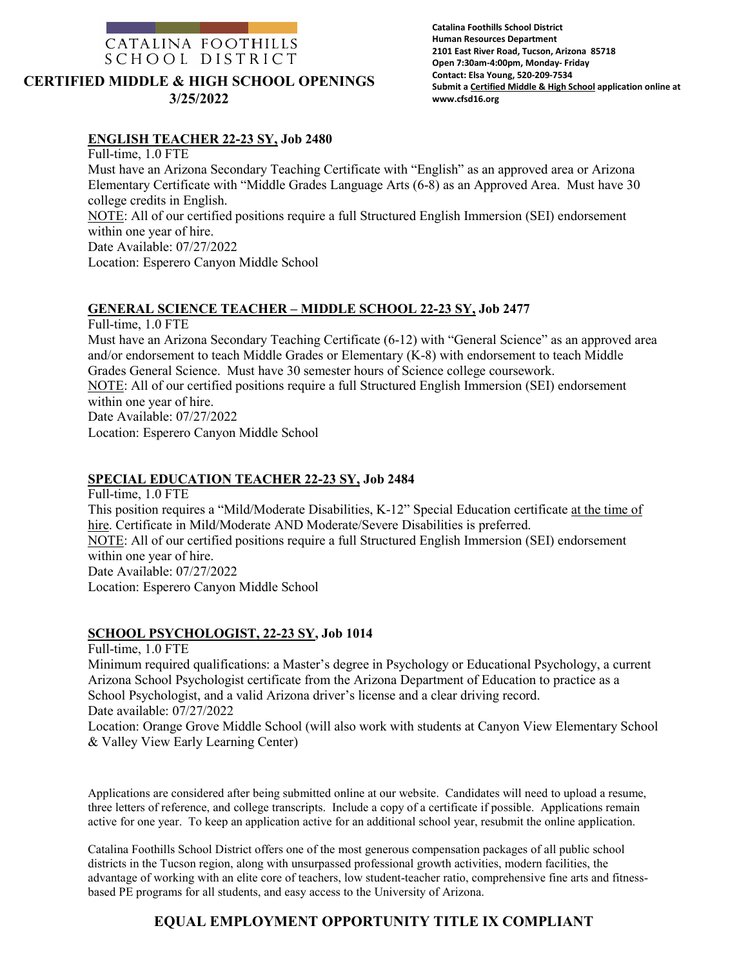

#### **Catalina Foothills School District Human Resources Department 2101 East River Road, Tucson, Arizona 85718 Open 7:30am-4:00pm, Monday- Friday Contact: Elsa Young, 520-209-7534 Submit a Certified Middle & High School application online at www.cfsd16.org**

#### **ENGLISH TEACHER 22-23 SY, Job 2480**

Full-time, 1.0 FTE Must have an Arizona Secondary Teaching Certificate with "English" as an approved area or Arizona Elementary Certificate with "Middle Grades Language Arts (6-8) as an Approved Area. Must have 30 college credits in English. NOTE: All of our certified positions require a full Structured English Immersion (SEI) endorsement within one year of hire. Date Available: 07/27/2022 Location: Esperero Canyon Middle School

### **GENERAL SCIENCE TEACHER – MIDDLE SCHOOL 22-23 SY, Job 2477**

Full-time, 1.0 FTE

Must have an Arizona Secondary Teaching Certificate (6-12) with "General Science" as an approved area and/or endorsement to teach Middle Grades or Elementary (K-8) with endorsement to teach Middle Grades General Science. Must have 30 semester hours of Science college coursework. NOTE: All of our certified positions require a full Structured English Immersion (SEI) endorsement within one year of hire. Date Available: 07/27/2022 Location: Esperero Canyon Middle School

#### **SPECIAL EDUCATION TEACHER 22-23 SY, Job 2484**

Full-time, 1.0 FTE This position requires a "Mild/Moderate Disabilities, K-12" Special Education certificate at the time of hire. Certificate in Mild/Moderate AND Moderate/Severe Disabilities is preferred. NOTE: All of our certified positions require a full Structured English Immersion (SEI) endorsement within one year of hire. Date Available: 07/27/2022 Location: Esperero Canyon Middle School

#### **SCHOOL PSYCHOLOGIST, 22-23 SY, Job 1014**

Full-time, 1.0 FTE

Minimum required qualifications: a Master's degree in Psychology or Educational Psychology, a current Arizona School Psychologist certificate from the Arizona Department of Education to practice as a School Psychologist, and a valid Arizona driver's license and a clear driving record. Date available: 07/27/2022

Location: Orange Grove Middle School (will also work with students at Canyon View Elementary School & Valley View Early Learning Center)

Applications are considered after being submitted online at our website. Candidates will need to upload a resume, three letters of reference, and college transcripts. Include a copy of a certificate if possible. Applications remain active for one year. To keep an application active for an additional school year, resubmit the online application.

Catalina Foothills School District offers one of the most generous compensation packages of all public school districts in the Tucson region, along with unsurpassed professional growth activities, modern facilities, the advantage of working with an elite core of teachers, low student-teacher ratio, comprehensive fine arts and fitnessbased PE programs for all students, and easy access to the University of Arizona.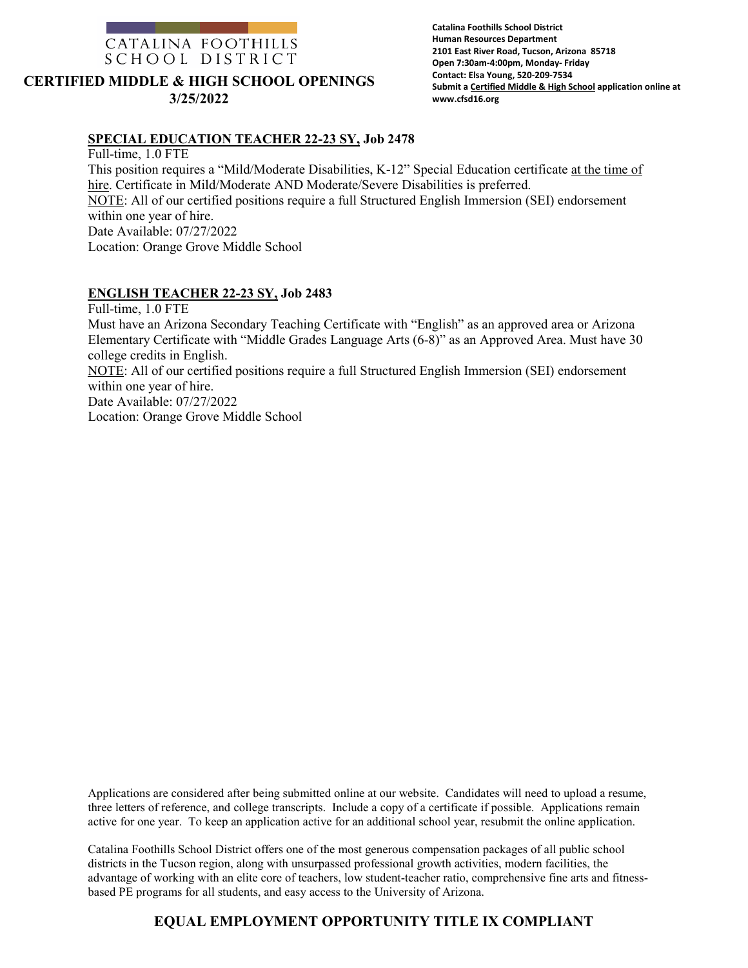

**Catalina Foothills School District Human Resources Department 2101 East River Road, Tucson, Arizona 85718 Open 7:30am-4:00pm, Monday- Friday Contact: Elsa Young, 520-209-7534 Submit a Certified Middle & High School application online at www.cfsd16.org**

#### **SPECIAL EDUCATION TEACHER 22-23 SY, Job 2478**

Full-time, 1.0 FTE This position requires a "Mild/Moderate Disabilities, K-12" Special Education certificate at the time of hire. Certificate in Mild/Moderate AND Moderate/Severe Disabilities is preferred. NOTE: All of our certified positions require a full Structured English Immersion (SEI) endorsement within one year of hire. Date Available: 07/27/2022 Location: Orange Grove Middle School

#### **ENGLISH TEACHER 22-23 SY, Job 2483**

Full-time, 1.0 FTE Must have an Arizona Secondary Teaching Certificate with "English" as an approved area or Arizona Elementary Certificate with "Middle Grades Language Arts (6-8)" as an Approved Area. Must have 30 college credits in English. NOTE: All of our certified positions require a full Structured English Immersion (SEI) endorsement within one year of hire. Date Available: 07/27/2022 Location: Orange Grove Middle School

Applications are considered after being submitted online at our website. Candidates will need to upload a resume, three letters of reference, and college transcripts. Include a copy of a certificate if possible. Applications remain active for one year. To keep an application active for an additional school year, resubmit the online application.

Catalina Foothills School District offers one of the most generous compensation packages of all public school districts in the Tucson region, along with unsurpassed professional growth activities, modern facilities, the advantage of working with an elite core of teachers, low student-teacher ratio, comprehensive fine arts and fitnessbased PE programs for all students, and easy access to the University of Arizona.